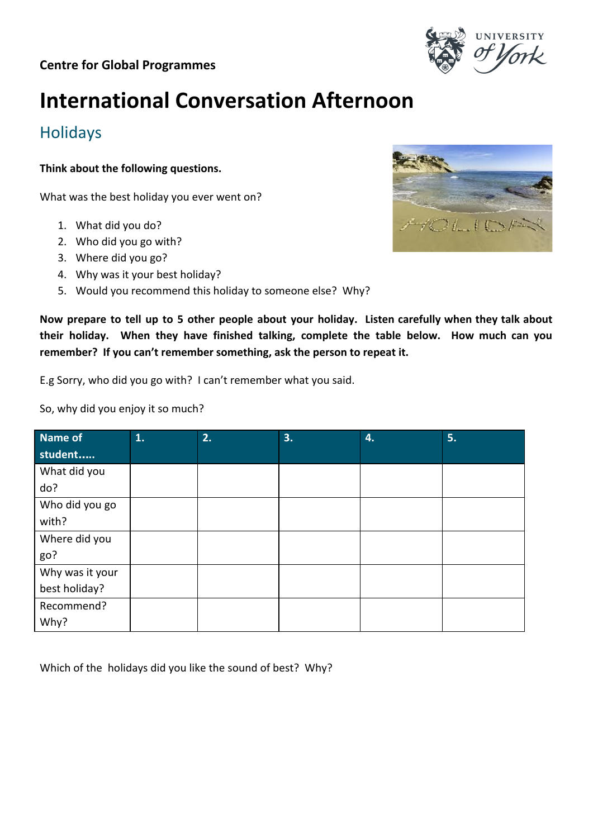

# **International Conversation Afternoon**

## Holidays

**Think about the following questions.**

What was the best holiday you ever went on?

- 1. What did you do?
- 2. Who did you go with?
- 3. Where did you go?
- 4. Why was it your best holiday?
- 5. Would you recommend this holiday to someone else? Why?

**Now prepare to tell up to 5 other people about your holiday. Listen carefully when they talk about their holiday. When they have finished talking, complete the table below. How much can you remember? If you can't remember something, ask the person to repeat it.**

E.g Sorry, who did you go with? I can't remember what you said.

So, why did you enjoy it so much?

| Name of         | 1. | 2. | 3. | 4. | 5. |
|-----------------|----|----|----|----|----|
| student         |    |    |    |    |    |
| What did you    |    |    |    |    |    |
| do?             |    |    |    |    |    |
| Who did you go  |    |    |    |    |    |
| with?           |    |    |    |    |    |
| Where did you   |    |    |    |    |    |
| go?             |    |    |    |    |    |
| Why was it your |    |    |    |    |    |
| best holiday?   |    |    |    |    |    |
| Recommend?      |    |    |    |    |    |
| Why?            |    |    |    |    |    |

Which of the holidays did you like the sound of best? Why?

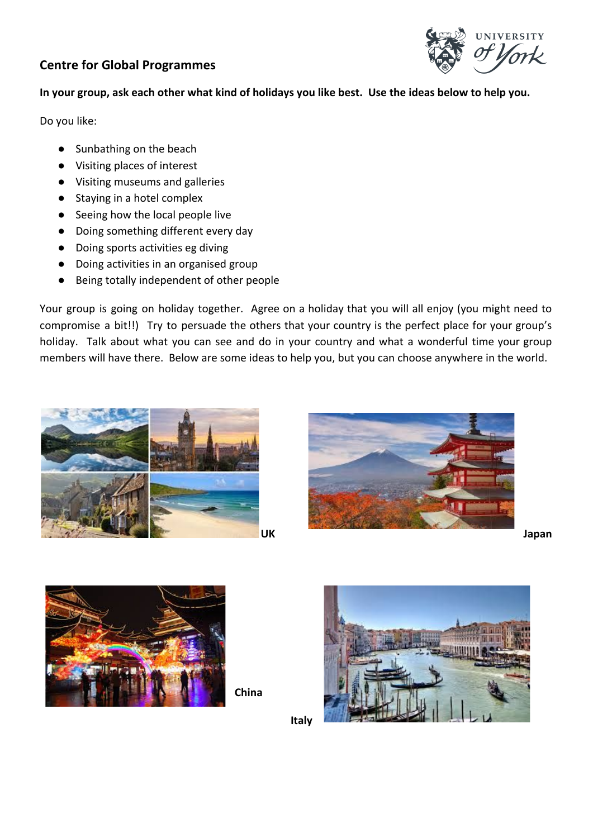#### **Centre for Global Programmes**



#### **In your group, ask each other what kind of holidays you like best. Use the ideas below to help you.**

Do you like:

- Sunbathing on the beach
- Visiting places of interest
- Visiting museums and galleries
- Staying in a hotel complex
- Seeing how the local people live
- Doing something different every day
- Doing sports activities eg diving
- Doing activities in an organised group
- Being totally independent of other people

Your group is going on holiday together. Agree on a holiday that you will all enjoy (you might need to compromise a bit!!) Try to persuade the others that your country is the perfect place for your group's holiday. Talk about what you can see and do in your country and what a wonderful time your group members will have there. Below are some ideas to help you, but you can choose anywhere in the world.









**China**



**Italy**